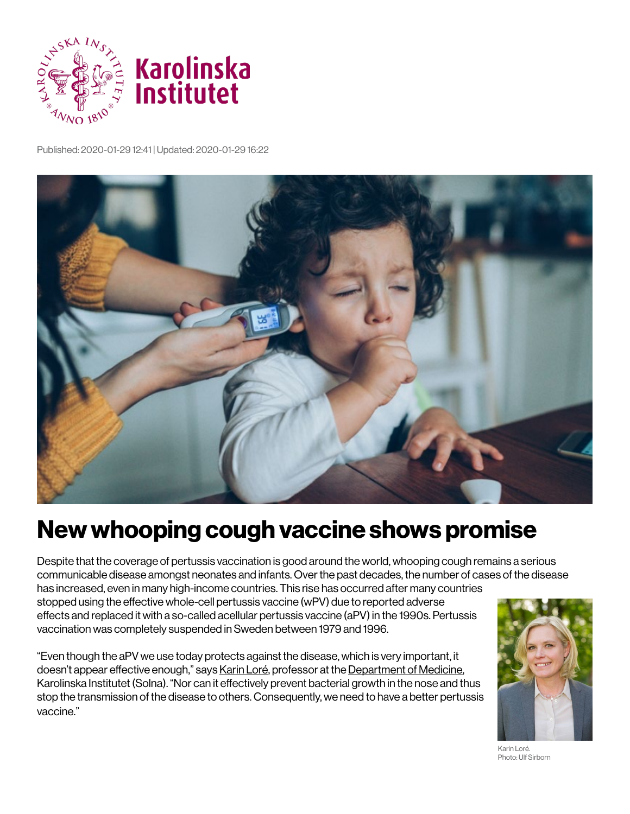

Published: 2020-01-29 12:41 | Updated: 2020-01-29 16:22



## **New whooping cough vaccine shows promise**

Despite that the coverage of pertussis vaccination is good around the world, whooping cough remains a serious communicable disease amongst neonates and infants. Over the past decades, the number of cases of the disease has increased, even in many high-income countries. This rise has occurred after many countries

stopped using the effective whole-cell pertussis vaccine (wPV) due to reported adverse effects and replaced it with a so-called acellular pertussis vaccine (aPV) in the 1990s. Pertussis vaccination was completely suspended in Sweden between 1979 and 1996.

"Even though the aPV we use today protects against the disease, which is very important, it doesn't appear effective enough," says [Karin Loré,](https://staff.ki.se/people/karlor?_ga=2.63379439.1532068072.1580742554-418969139.1580742554) professor at the [Department of Medicine,](https://ki.se/en/meds/department-of-medicine-solna?_ga=2.172504035.1532068072.1580742554-418969139.1580742554) Karolinska Institutet (Solna). "Nor can it effectively prevent bacterial growth in the nose and thus stop the transmission of the disease to others. Consequently, we need to have a better pertussis vaccine."



Karin Loré. Photo: Ulf Sirborn